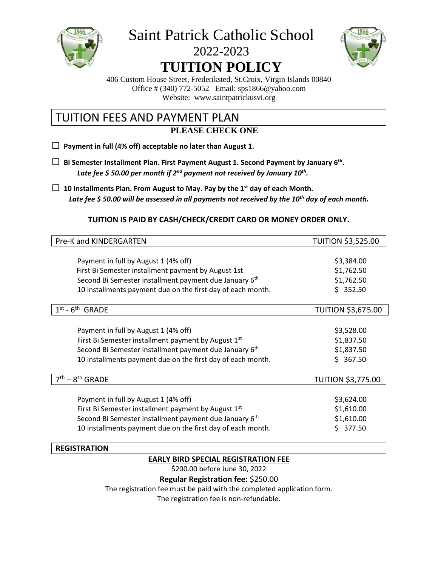

Saint Patrick Catholic School

# 2022-2023 **TUITION POLICY**



406 Custom House Street, Frederiksted, St.Croix, Virgin Islands 00840 Office # (340) 772-5052 Email: sps1866@yahoo.com Website: www.saintpatrickusvi.org

### TUITION FEES AND PAYMENT PLAN **PLEASE CHECK ONE**

**□ Payment in full (4% off) acceptable no later than August 1.**

- **□ Bi Semester Installment Plan. First Payment August 1. Second Payment by January 6th .** *Late fee \$ 50.00 per month if 2nd payment not received by January 10th .*
- **□ 10 Installments Plan. From August to May. Pay by the 1st day of each Month.** *Late fee \$ 50.00 will be assessed in all payments not received by the 10th day of each month.*

### **TUITION IS PAID BY CASH/CHECK/CREDIT CARD OR MONEY ORDER ONLY.**

| Pre-K and KINDERGARTEN                                             | <b>TUITION \$3,525.00</b> |
|--------------------------------------------------------------------|---------------------------|
|                                                                    |                           |
| Payment in full by August 1 (4% off)                               | \$3,384.00                |
| First Bi Semester installment payment by August 1st                | \$1,762.50                |
| Second Bi Semester installment payment due January 6 <sup>th</sup> | \$1,762.50                |
| 10 installments payment due on the first day of each month.        | \$352.50                  |
| 1 <sup>st</sup><br>$-6th$ GRADE                                    | <b>TUITION \$3,675.00</b> |
|                                                                    |                           |
| Payment in full by August 1 (4% off)                               | \$3,528.00                |
| First Bi Semester installment payment by August 1 <sup>st</sup>    | \$1,837.50                |
| Second Bi Semester installment payment due January 6 <sup>th</sup> | \$1,837.50                |
| 10 installments payment due on the first day of each month.        | \$367.50                  |
| – 8 <sup>th</sup> GRADE                                            | <b>TUITION \$3,775.00</b> |
|                                                                    |                           |
| Payment in full by August 1 (4% off)                               | \$3,624.00                |
| First Bi Semester installment payment by August 1 <sup>st</sup>    | \$1,610.00                |
| Second Bi Semester installment payment due January 6 <sup>th</sup> | \$1,610.00                |
| 10 installments payment due on the first day of each month.        | 377.50<br>S.              |

#### **REGISTRATION**

### **EARLY BIRD SPECIAL REGISTRATION FEE**

\$200.00 before June 30, 2022

**Regular Registration fee:** \$250.00

The registration fee must be paid with the completed application form.

The registration fee is non-refundable.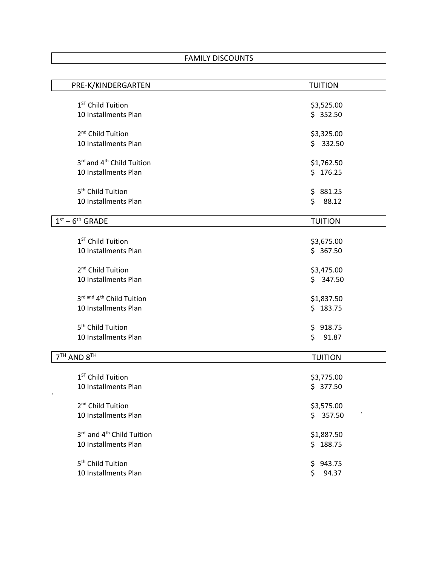| PRE-K/KINDERGARTEN                    | <b>TUITION</b> |
|---------------------------------------|----------------|
|                                       |                |
| 1 <sup>ST</sup> Child Tuition         | \$3,525.00     |
| 10 Installments Plan                  | \$352.50       |
|                                       |                |
| 2 <sup>nd</sup> Child Tuition         | \$3,325.00     |
| 10 Installments Plan                  | \$332.50       |
| 3rd and 4 <sup>th</sup> Child Tuition | \$1,762.50     |
| 10 Installments Plan                  | \$176.25       |
|                                       |                |
| 5 <sup>th</sup> Child Tuition         | \$881.25       |
| 10 Installments Plan                  | \$<br>88.12    |
|                                       |                |
| $1st - 6th$ GRADE                     | <b>TUITION</b> |
|                                       |                |
| 1 <sup>ST</sup> Child Tuition         | \$3,675.00     |
| 10 Installments Plan                  | \$367.50       |
|                                       |                |
| 2 <sup>nd</sup> Child Tuition         | \$3,475.00     |
| 10 Installments Plan                  | \$347.50       |
| 3rd and 4th Child Tuition             | \$1,837.50     |
| 10 Installments Plan                  | \$183.75       |
|                                       |                |
| 5 <sup>th</sup> Child Tuition         | \$918.75       |
| 10 Installments Plan                  | \$<br>91.87    |
|                                       |                |
| 7 <sup>TH</sup> AND 8 <sup>TH</sup>   | <b>TUITION</b> |
|                                       |                |
| 1 <sup>ST</sup> Child Tuition         | \$3,775.00     |
| 10 Installments Plan                  | \$377.50       |
| 2 <sup>nd</sup> Child Tuition         | \$3,575.00     |
| 10 Installments Plan                  | \$357.50       |
|                                       |                |
| 3rd and 4 <sup>th</sup> Child Tuition | \$1,887.50     |
| 10 Installments Plan                  | \$188.75       |
|                                       |                |
| 5 <sup>th</sup> Child Tuition         | 943.75<br>\$   |
| 10 Installments Plan                  | \$<br>94.37    |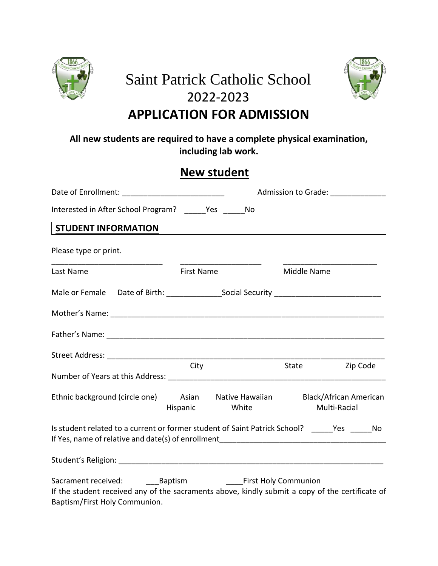

# Saint Patrick Catholic School 2022-2023 **APPLICATION FOR ADMISSION**



## **All new students are required to have a complete physical examination, including lab work.**

# **New student**

|                                                                                                                                  |                   |                                       | Admission to Grade: _______________ |              |  |
|----------------------------------------------------------------------------------------------------------------------------------|-------------------|---------------------------------------|-------------------------------------|--------------|--|
| Interested in After School Program? ______ Yes ______ No                                                                         |                   |                                       |                                     |              |  |
| <b>STUDENT INFORMATION</b>                                                                                                       |                   |                                       |                                     |              |  |
| Please type or print.                                                                                                            |                   |                                       |                                     |              |  |
| Last Name                                                                                                                        | <b>First Name</b> |                                       | Middle Name                         |              |  |
|                                                                                                                                  |                   |                                       |                                     |              |  |
|                                                                                                                                  |                   |                                       |                                     |              |  |
|                                                                                                                                  |                   |                                       |                                     |              |  |
|                                                                                                                                  |                   |                                       |                                     |              |  |
|                                                                                                                                  | City              |                                       | State                               | Zip Code     |  |
| Ethnic background (circle one) Asian Native Hawaiian Black/African American                                                      |                   | Hispanic White                        |                                     | Multi-Racial |  |
| Is student related to a current or former student of Saint Patrick School? _____Yes _____No                                      |                   |                                       |                                     |              |  |
|                                                                                                                                  |                   |                                       |                                     |              |  |
| If the student received any of the sacraments above, kindly submit a copy of the certificate of<br>Baptism/First Holy Communion. |                   | <b>Example 1 First Holy Communion</b> |                                     |              |  |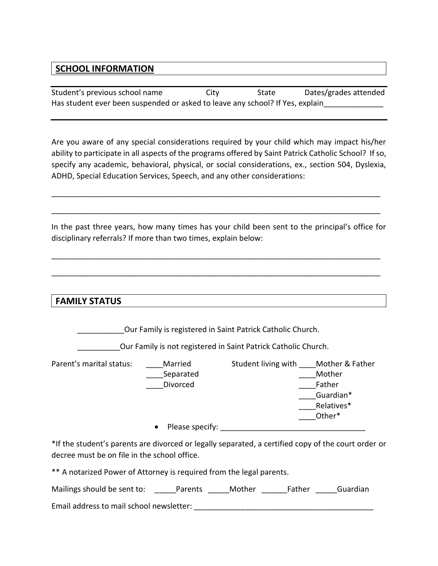### **SCHOOL INFORMATION**

Student's previous school name City State Dates/grades attended Has student ever been suspended or asked to leave any school? If Yes, explain

Are you aware of any special considerations required by your child which may impact his/her ability to participate in all aspects of the programs offered by Saint Patrick Catholic School? If so, specify any academic, behavioral, physical, or social considerations, ex., section 504, Dyslexia, ADHD, Special Education Services, Speech, and any other considerations:

\_\_\_\_\_\_\_\_\_\_\_\_\_\_\_\_\_\_\_\_\_\_\_\_\_\_\_\_\_\_\_\_\_\_\_\_\_\_\_\_\_\_\_\_\_\_\_\_\_\_\_\_\_\_\_\_\_\_\_\_\_\_\_\_\_\_\_\_\_\_\_\_\_\_\_\_\_

\_\_\_\_\_\_\_\_\_\_\_\_\_\_\_\_\_\_\_\_\_\_\_\_\_\_\_\_\_\_\_\_\_\_\_\_\_\_\_\_\_\_\_\_\_\_\_\_\_\_\_\_\_\_\_\_\_\_\_\_\_\_\_\_\_\_\_\_\_\_\_\_\_\_\_\_\_

In the past three years, how many times has your child been sent to the principal's office for disciplinary referrals? If more than two times, explain below:

\_\_\_\_\_\_\_\_\_\_\_\_\_\_\_\_\_\_\_\_\_\_\_\_\_\_\_\_\_\_\_\_\_\_\_\_\_\_\_\_\_\_\_\_\_\_\_\_\_\_\_\_\_\_\_\_\_\_\_\_\_\_\_\_\_\_\_\_\_\_\_\_\_\_\_\_\_

\_\_\_\_\_\_\_\_\_\_\_\_\_\_\_\_\_\_\_\_\_\_\_\_\_\_\_\_\_\_\_\_\_\_\_\_\_\_\_\_\_\_\_\_\_\_\_\_\_\_\_\_\_\_\_\_\_\_\_\_\_\_\_\_\_\_\_\_\_\_\_\_\_\_\_\_\_

**FAMILY STATUS**

Our Family is registered in Saint Patrick Catholic Church.

\_\_\_\_\_\_\_\_\_\_Our Family is not registered in Saint Patrick Catholic Church.

Parent's marital status: \_\_\_\_Married Student living with \_\_\_\_Mother & Father Separated **Exercise Separated Exercise Separated Mother** Divorced **Example 20** Father \_\_\_\_Guardian\* \_\_\_\_Relatives\* \_\_\_\_Other\*

 $\bullet$  Please specify:

\*If the student's parents are divorced or legally separated, a certified copy of the court order or decree must be on file in the school office.

\*\* A notarized Power of Attorney is required from the legal parents.

Mailings should be sent to: <br>
Parents Mother Father Guardian

Email address to mail school newsletter: \_\_\_\_\_\_\_\_\_\_\_\_\_\_\_\_\_\_\_\_\_\_\_\_\_\_\_\_\_\_\_\_\_\_\_\_\_\_\_\_\_\_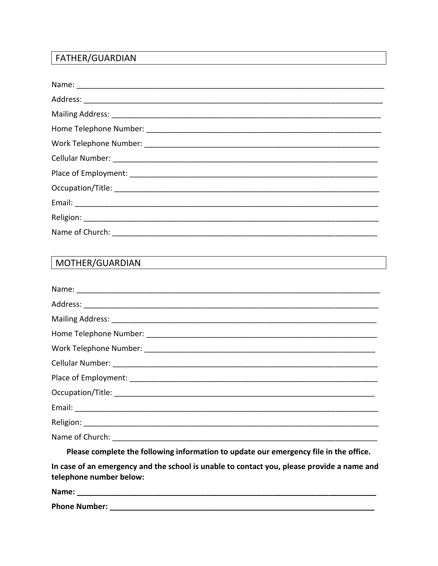## FATHER/GUARDIAN

# MOTHER/GUARDIAN

| Please complete the following information to update our emergency file in the office.                                                                                                                                                                                                                                                                                                                                                                        |
|--------------------------------------------------------------------------------------------------------------------------------------------------------------------------------------------------------------------------------------------------------------------------------------------------------------------------------------------------------------------------------------------------------------------------------------------------------------|
| $\mathcal{L} = \mathcal{L} = \mathcal{L} = \mathcal{L} = \mathcal{L} = \mathcal{L} = \mathcal{L} = \mathcal{L} = \mathcal{L} = \mathcal{L} = \mathcal{L} = \mathcal{L} = \mathcal{L} = \mathcal{L} = \mathcal{L} = \mathcal{L} = \mathcal{L} = \mathcal{L} = \mathcal{L} = \mathcal{L} = \mathcal{L} = \mathcal{L} = \mathcal{L} = \mathcal{L} = \mathcal{L} = \mathcal{L} = \mathcal{L} = \mathcal{L} = \mathcal{L} = \mathcal{L} = \mathcal{L} = \mathcal$ |

In case of an emergency and the school is unable to contact you, please provide a name and telephone number below:

| Name:                |  |
|----------------------|--|
| <b>Phone Number:</b> |  |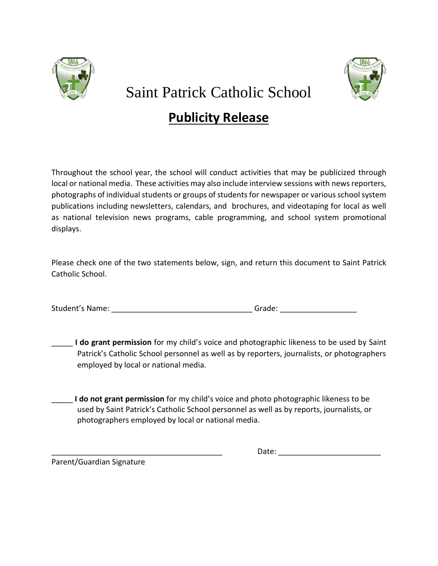

# Saint Patrick Catholic School

# **Publicity Release**

Throughout the school year, the school will conduct activities that may be publicized through local or national media. These activities may also include interview sessions with news reporters, photographs of individual students or groups of students for newspaper or various school system publications including newsletters, calendars, and brochures, and videotaping for local as well as national television news programs, cable programming, and school system promotional displays.

Please check one of the two statements below, sign, and return this document to Saint Patrick Catholic School.

Student's Name: etc. and the student's Name:  $\qquad \qquad$  Grade:  $\qquad \qquad$ 

\_\_\_\_\_ **I do grant permission** for my child's voice and photographic likeness to be used by Saint Patrick's Catholic School personnel as well as by reporters, journalists, or photographers employed by local or national media.

\_\_\_\_\_ **I do not grant permission** for my child's voice and photo photographic likeness to be used by Saint Patrick's Catholic School personnel as well as by reports, journalists, or photographers employed by local or national media.

Parent/Guardian Signature

\_\_\_\_\_\_\_\_\_\_\_\_\_\_\_\_\_\_\_\_\_\_\_\_\_\_\_\_\_\_\_\_\_\_\_\_\_\_\_\_ Date: \_\_\_\_\_\_\_\_\_\_\_\_\_\_\_\_\_\_\_\_\_\_\_\_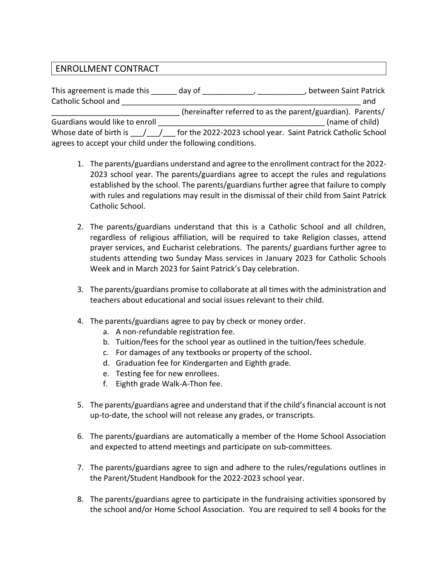### ENROLLMENT CONTRACT

| This agreement is made this                                 | day of | between Saint Patrick                                                                     |
|-------------------------------------------------------------|--------|-------------------------------------------------------------------------------------------|
| Catholic School and                                         |        | and                                                                                       |
|                                                             |        | (hereinafter referred to as the parent/guardian). Parents/                                |
| Guardians would like to enroll                              |        | (name of child)                                                                           |
|                                                             |        | Whose date of birth is / / / for the 2022-2023 school year. Saint Patrick Catholic School |
| agrees to accept your child under the following conditions. |        |                                                                                           |

- 1. The parents/guardians understand and agree to the enrollment contract for the 2022- 2023 school year. The parents/guardians agree to accept the rules and regulations established by the school. The parents/guardians further agree that failure to comply with rules and regulations may result in the dismissal of their child from Saint Patrick Catholic School.
- 2. The parents/guardians understand that this is a Catholic School and all children, regardless of religious affiliation, will be required to take Religion classes, attend prayer services, and Eucharist celebrations. The parents/ guardians further agree to students attending two Sunday Mass services in January 2023 for Catholic Schools Week and in March 2023 for Saint Patrick's Day celebration.
- 3. The parents/guardians promise to collaborate at all times with the administration and teachers about educational and social issues relevant to their child.
- 4. The parents/guardians agree to pay by check or money order.
	- a. A non-refundable registration fee.
	- b. Tuition/fees for the school year as outlined in the tuition/fees schedule.
	- c. For damages of any textbooks or property of the school.
	- d. Graduation fee for Kindergarten and Eighth grade.
	- e. Testing fee for new enrollees.
	- f. Eighth grade Walk-A-Thon fee.
- 5. The parents/guardians agree and understand that if the child's financial account is not up-to-date, the school will not release any grades, or transcripts.
- 6. The parents/guardians are automatically a member of the Home School Association and expected to attend meetings and participate on sub-committees.
- 7. The parents/guardians agree to sign and adhere to the rules/regulations outlines in the Parent/Student Handbook for the 2022-2023 school year.
- 8. The parents/guardians agree to participate in the fundraising activities sponsored by the school and/or Home School Association. You are required to sell 4 books for the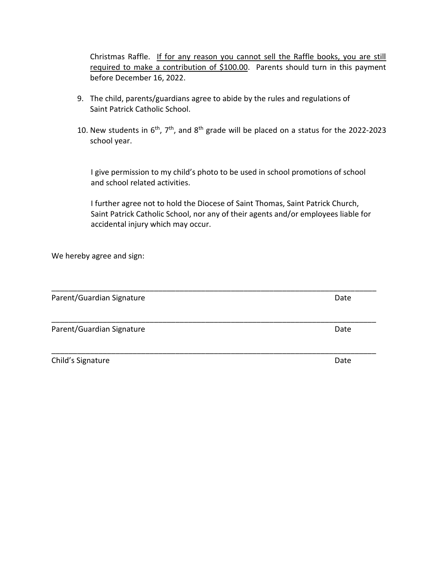Christmas Raffle. If for any reason you cannot sell the Raffle books, you are still required to make a contribution of \$100.00. Parents should turn in this payment before December 16, 2022.

- 9. The child, parents/guardians agree to abide by the rules and regulations of Saint Patrick Catholic School.
- 10. New students in  $6<sup>th</sup>$ ,  $7<sup>th</sup>$ , and  $8<sup>th</sup>$  grade will be placed on a status for the 2022-2023 school year.

 I give permission to my child's photo to be used in school promotions of school and school related activities.

 I further agree not to hold the Diocese of Saint Thomas, Saint Patrick Church, Saint Patrick Catholic School, nor any of their agents and/or employees liable for accidental injury which may occur.

\_\_\_\_\_\_\_\_\_\_\_\_\_\_\_\_\_\_\_\_\_\_\_\_\_\_\_\_\_\_\_\_\_\_\_\_\_\_\_\_\_\_\_\_\_\_\_\_\_\_\_\_\_\_\_\_\_\_\_\_\_\_\_\_\_\_\_\_\_\_\_\_\_\_\_\_

\_\_\_\_\_\_\_\_\_\_\_\_\_\_\_\_\_\_\_\_\_\_\_\_\_\_\_\_\_\_\_\_\_\_\_\_\_\_\_\_\_\_\_\_\_\_\_\_\_\_\_\_\_\_\_\_\_\_\_\_\_\_\_\_\_\_\_\_\_\_\_\_\_\_\_\_

We hereby agree and sign:

Parent/Guardian Signature Date Date Date

Parent/Guardian Signature Date Date

Child's Signature Date Date of the Date of the Date Date of the Date Date of the Date of the Date of the Date o

\_\_\_\_\_\_\_\_\_\_\_\_\_\_\_\_\_\_\_\_\_\_\_\_\_\_\_\_\_\_\_\_\_\_\_\_\_\_\_\_\_\_\_\_\_\_\_\_\_\_\_\_\_\_\_\_\_\_\_\_\_\_\_\_\_\_\_\_\_\_\_\_\_\_\_\_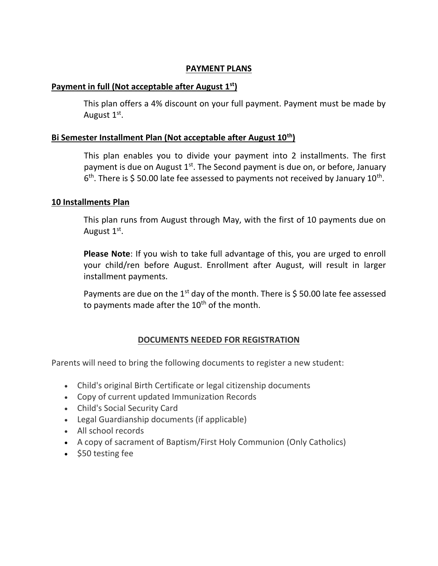### **PAYMENT PLANS**

### **Payment in full (Not acceptable after August 1st)**

This plan offers a 4% discount on your full payment. Payment must be made by August 1<sup>st</sup>.

### **Bi Semester Installment Plan (Not acceptable after August 10th)**

This plan enables you to divide your payment into 2 installments. The first payment is due on August  $1<sup>st</sup>$ . The Second payment is due on, or before, January  $6<sup>th</sup>$ . There is \$50.00 late fee assessed to payments not received by January 10<sup>th</sup>.

### **10 Installments Plan**

This plan runs from August through May, with the first of 10 payments due on August  $1<sup>st</sup>$ .

**Please Note**: If you wish to take full advantage of this, you are urged to enroll your child/ren before August. Enrollment after August, will result in larger installment payments.

Payments are due on the 1<sup>st</sup> day of the month. There is \$50.00 late fee assessed to payments made after the  $10<sup>th</sup>$  of the month.

### **DOCUMENTS NEEDED FOR REGISTRATION**

Parents will need to bring the following documents to register a new student:

- Child's original Birth Certificate or legal citizenship documents
- Copy of current updated Immunization Records
- Child's Social Security Card
- Legal Guardianship documents (if applicable)
- All school records
- A copy of sacrament of Baptism/First Holy Communion (Only Catholics)
- $\bullet$  \$50 testing fee